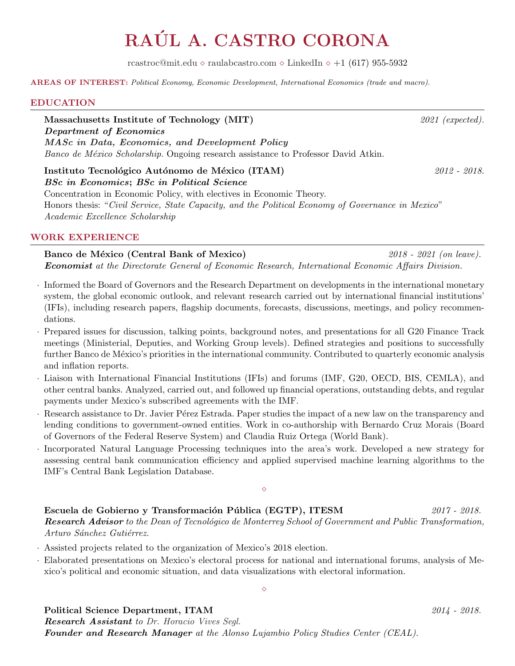# RAÚL A. CASTRO CORONA

[rcastroc@mit.edu](mailto:rcastroc@mit.edu)  $\diamond$  [raulabcastro.com](www.raulabcastro.com)  $\diamond$  [LinkedIn](https://www.linkedin.com/in/raulabcastro/)  $\diamond$  +1 (617) 955-5932

AREAS OF INTEREST: Political Economy, Economic Development, International Economics (trade and macro).

#### EDUCATION

Massachusetts Institute of Technology (MIT)  $2021$  (expected). Department of Economics [MASc in Data, Economics, and Development Policy](https://economics.mit.edu/masters/curriculum) Banco de México Scholarship. Ongoing research assistance to Professor David Atkin.

Instituto Tecnológico Autónomo de México (ITAM)  $2012 - 2018$ . BSc in Economics; BSc in Political Science

Concentration in Economic Policy, with electives in Economic Theory. Honors thesis: "Civil Service, State Capacity, and the Political Economy of Governance in Mexico" Academic Excellence Scholarship

### WORK EXPERIENCE

Banco de México (Central Bank of Mexico) 2018 - 2021 (on leave). Economist at the Directorate General of Economic Research, International Economic Affairs Division.

- · Informed the Board of Governors and the Research Department on developments in the international monetary system, the global economic outlook, and relevant research carried out by international financial institutions' (IFIs), including research papers, flagship documents, forecasts, discussions, meetings, and policy recommendations.
- · Prepared issues for discussion, talking points, background notes, and presentations for all G20 Finance Track meetings (Ministerial, Deputies, and Working Group levels). Defined strategies and positions to successfully further Banco de México's priorities in the international community. Contributed to quarterly economic analysis and inflation reports.
- · Liaison with International Financial Institutions (IFIs) and forums (IMF, G20, OECD, BIS, CEMLA), and other central banks. Analyzed, carried out, and followed up financial operations, outstanding debts, and regular payments under Mexico's subscribed agreements with the IMF.
- · Research assistance to Dr. Javier P´erez Estrada. Paper studies the impact of a new law on the transparency and lending conditions to government-owned entities. Work in co-authorship with Bernardo Cruz Morais (Board of Governors of the Federal Reserve System) and Claudia Ruiz Ortega (World Bank).
- · Incorporated Natural Language Processing techniques into the area's work. Developed a new strategy for assessing central bank communication efficiency and applied supervised machine learning algorithms to the IMF's Central Bank Legislation Database.

Escuela de Gobierno y Transformación Pública (EGTP), ITESM  $2017 - 2018$ . **Research Advisor** to the Dean of Tecnológico de Monterrey School of Government and Public Transformation, Arturo Sánchez Gutiérrez.

 $\Diamond$ 

- · Assisted projects related to the organization of Mexico's 2018 election.
- · Elaborated presentations on Mexico's electoral process for national and international forums, analysis of Mexico's political and economic situation, and data visualizations with electoral information.

 $\Diamond$ 

### Political Science Department, ITAM 2014 - 2018.

**Research Assistant** to [Dr. Horacio Vives Segl.](http://www.facultad.itam.mx/es/profesoresDetalles.php?id_profesor=400) Founder and Research Manager at the Alonso Lujambio Policy Studies Center (CEAL).